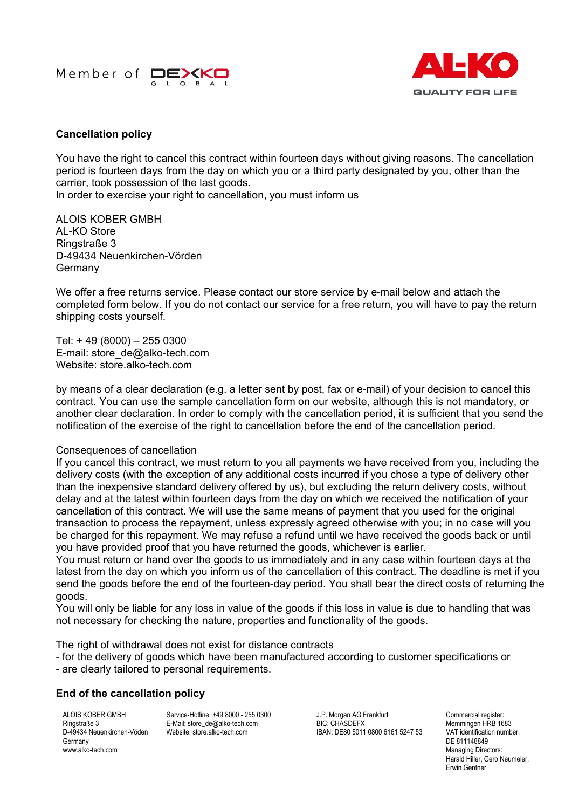



## **Cancellation policy**

You have the right to cancel this contract within fourteen days without giving reasons. The cancellation period is fourteen days from the day on which you or a third party designated by you, other than the carrier, took possession of the last goods.

In order to exercise your right to cancellation, you must inform us

ALOIS KOBER GMBH AL-KO Store Ringstraße 3 D-49434 Neuenkirchen-Vörden Germany

We offer a free returns service. Please contact our store service by e-mail below and attach the completed form below. If you do not contact our service for a free return, you will have to pay the return shipping costs yourself.

Tel: + 49 (8000) – 255 0300 E-mail: store\_de@alko-tech.com Website: store.alko-tech.com

by means of a clear declaration (e.g. a letter sent by post, fax or e-mail) of your decision to cancel this contract. You can use the sample cancellation form on our website, although this is not mandatory, or another clear declaration. In order to comply with the cancellation period, it is sufficient that you send the notification of the exercise of the right to cancellation before the end of the cancellation period.

## Consequences of cancellation

If you cancel this contract, we must return to you all payments we have received from you, including the delivery costs (with the exception of any additional costs incurred if you chose a type of delivery other than the inexpensive standard delivery offered by us), but excluding the return delivery costs, without delay and at the latest within fourteen days from the day on which we received the notification of your cancellation of this contract. We will use the same means of payment that you used for the original transaction to process the repayment, unless expressly agreed otherwise with you; in no case will you be charged for this repayment. We may refuse a refund until we have received the goods back or until you have provided proof that you have returned the goods, whichever is earlier.

You must return or hand over the goods to us immediately and in any case within fourteen days at the latest from the day on which you inform us of the cancellation of this contract. The deadline is met if you send the goods before the end of the fourteen-day period. You shall bear the direct costs of returning the goods.

You will only be liable for any loss in value of the goods if this loss in value is due to handling that was not necessary for checking the nature, properties and functionality of the goods.

The right of withdrawal does not exist for distance contracts

- for the delivery of goods which have been manufactured according to customer specifications or
- are clearly tailored to personal requirements.

## **End of the cancellation policy**

ALOIS KOBER GMBH Ringstraße 3 D-49434 Neuenkirchen-Vöden **Germany** www.alko-tech.com

Service-Hotline: +49 8000 - 255 0300 E-Mail: store\_de@alko-tech.com Website: store alko-tech.com

J.P. Morgan AG Frankfurt BIC: CHASDEFX IBAN: DE80 5011 0800 6161 5247 53 Commercial register: Memmingen HRB 1683 VAT identification number. DE 811148849 Managing Directors: Harald Hiller, Gero Neumeier, Erwin Gentner